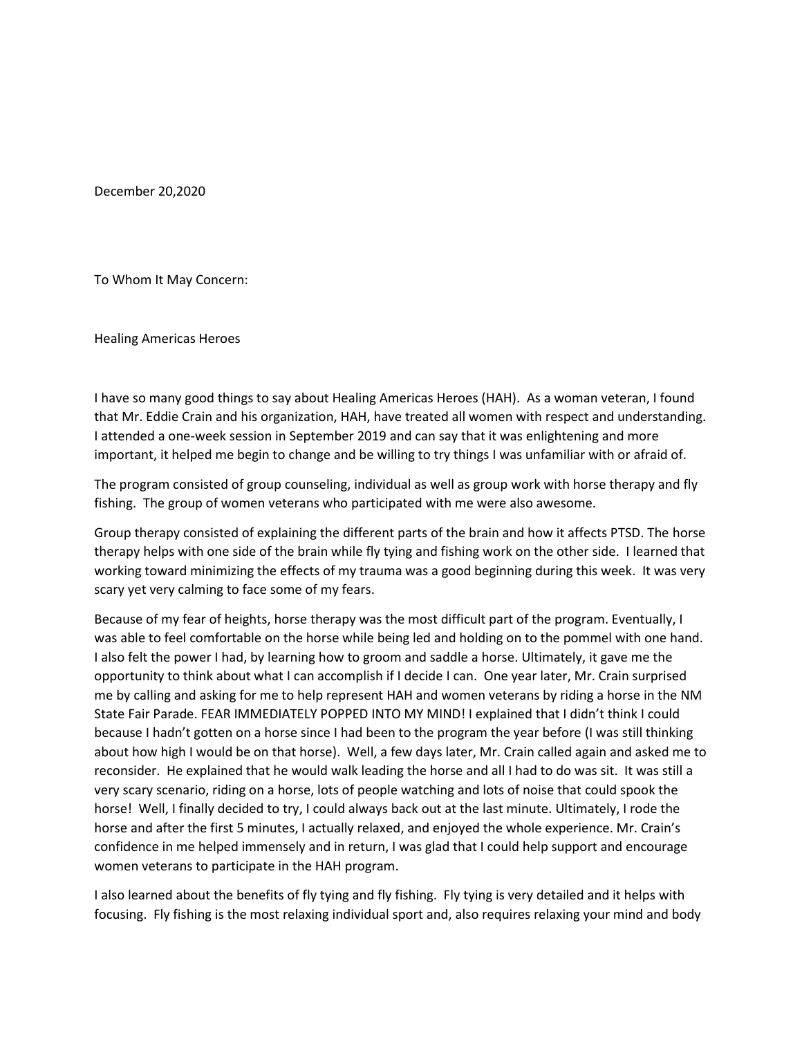December 20,2020

To Whom It May Concern:

Healing Americas Heroes

I have so many good things to say about Healing Americas Heroes (HAH). As a woman veteran, I found that Mr. Eddie Crain and his organization, HAH, have treated all women with respect and understanding. I attended a one-week session in September 2019 and can say that it was enlightening and more important, it helped me begin to change and be willing to try things I was unfamiliar with or afraid of.

The program consisted of group counseling, individual as well as group work with horse therapy and fly fishing. The group of women veterans who participated with me were also awesome.

Group therapy consisted of explaining the different parts of the brain and how it affects PTSD. The horse therapy helps with one side of the brain while fly tying and fishing work on the other side. I learned that working toward minimizing the effects of my trauma was a good beginning during this week. It was very scary yet very calming to face some of my fears.

Because of my fear of heights, horse therapy was the most difficult part of the program. Eventually, I was able to feel comfortable on the horse while being led and holding on to the pommel with one hand. I also felt the power I had, by learning how to groom and saddle a horse. Ultimately, it gave me the opportunity to think about what I can accomplish if I decide I can. One year later, Mr. Crain surprised me by calling and asking for me to help represent HAH and women veterans by riding a horse in the NM State Fair Parade. FEAR IMMEDIATELY POPPED INTO MY MIND! I explained that I didn't think I could because I hadn't gotten on a horse since I had been to the program the year before (I was still thinking about how high I would be on that horse). Well, a few days later, Mr. Crain called again and asked me to reconsider. He explained that he would walk leading the horse and all I had to do was sit. It was still a very scary scenario, riding on a horse, lots of people watching and lots of noise that could spook the horse! Well, I finally decided to try, I could always back out at the last minute. Ultimately, I rode the horse and after the first 5 minutes, I actually relaxed, and enjoyed the whole experience. Mr. Crain's confidence in me helped immensely and in return, I was glad that I could help support and encourage women veterans to participate in the HAH program.

I also learned about the benefits of fly tying and fly fishing. Fly tying is very detailed and it helps with focusing. Fly fishing is the most relaxing individual sport and, also requires relaxing your mind and body